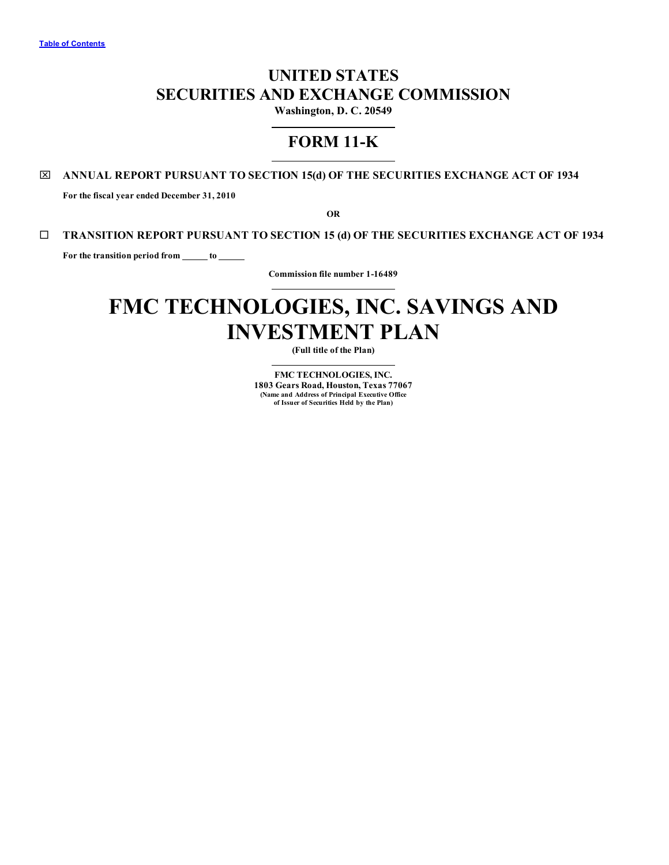## **UNITED STATES SECURITIES AND EXCHANGE COMMISSION**

**Washington, D. C. 20549**

## **FORM 11-K**

## x **ANNUAL REPORT PURSUANT TO SECTION 15(d) OF THE SECURITIES EXCHANGE ACT OF 1934**

**For the fiscal year ended December 31, 2010**

**OR**

## ¨ **TRANSITION REPORT PURSUANT TO SECTION 15 (d) OF THE SECURITIES EXCHANGE ACT OF 1934**

**For the transition period from to**

**Commission file number 1-16489**

# **FMC TECHNOLOGIES, INC. SAVINGS AND INVESTMENT PLAN**

**(Full title of the Plan)**

**FMC TECHNOLOGIES, INC. 1803 Gears Road, Houston, Texas 77067 (Name and Address of Principal Executive Office of Issuer of Securities Held by the Plan)**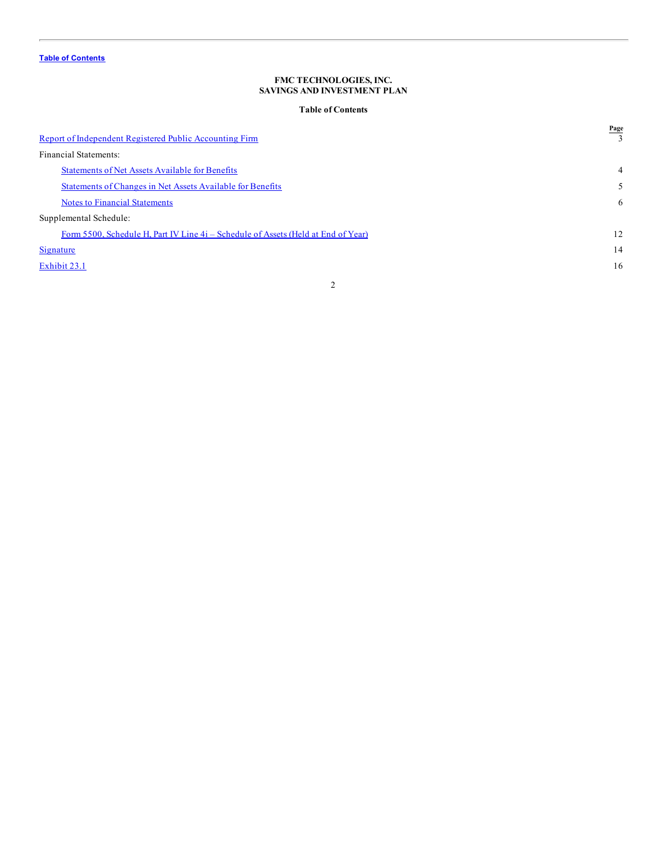## **Table of Contents**

<span id="page-1-0"></span>

| <b>Statements of Net Assets Available for Benefits</b><br>$\overline{4}$<br>Statements of Changes in Net Assets Available for Benefits<br>5<br><b>Notes to Financial Statements</b><br>6<br>Form 5500, Schedule H, Part IV Line 4i – Schedule of Assets (Held at End of Year)<br>12<br>14<br>16 | Report of Independent Registered Public Accounting Firm | Page |
|-------------------------------------------------------------------------------------------------------------------------------------------------------------------------------------------------------------------------------------------------------------------------------------------------|---------------------------------------------------------|------|
|                                                                                                                                                                                                                                                                                                 | Financial Statements:                                   |      |
|                                                                                                                                                                                                                                                                                                 |                                                         |      |
|                                                                                                                                                                                                                                                                                                 |                                                         |      |
|                                                                                                                                                                                                                                                                                                 |                                                         |      |
|                                                                                                                                                                                                                                                                                                 | Supplemental Schedule:                                  |      |
|                                                                                                                                                                                                                                                                                                 |                                                         |      |
|                                                                                                                                                                                                                                                                                                 | Signature                                               |      |
|                                                                                                                                                                                                                                                                                                 | Exhibit 23.1                                            |      |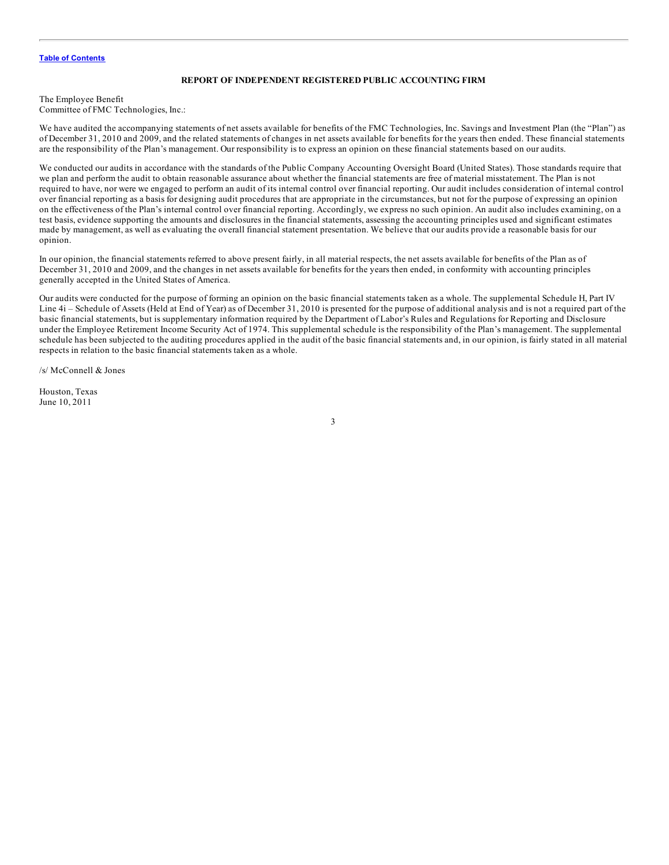#### **REPORT OF INDEPENDENT REGISTERED PUBLIC ACCOUNTING FIRM**

<span id="page-2-0"></span>The Employee Benefit Committee of FMC Technologies, Inc.:

We have audited the accompanying statements of net assets available for benefits of the FMC Technologies, Inc. Savings and Investment Plan (the "Plan") as of December 31, 2010 and 2009, and the related statements of changes in net assets available for benefits for the years then ended. These financial statements are the responsibility of the Plan's management. Our responsibility is to express an opinion on these financial statements based on our audits.

We conducted our audits in accordance with the standards of the Public Company Accounting Oversight Board (United States). Those standards require that we plan and perform the audit to obtain reasonable assurance about whether the financial statements are free of material misstatement. The Plan is not required to have, nor were we engaged to perform an audit of its internal control over financial reporting. Our audit includes consideration of internal control over financial reporting as a basis for designing audit procedures that are appropriate in the circumstances, but not for the purpose of expressing an opinion on the effectiveness of the Plan's internal control over financial reporting. Accordingly, we express no such opinion. An audit also includes examining, on a test basis, evidence supporting the amounts and disclosures in the financial statements, assessing the accounting principles used and significant estimates made by management, as well as evaluating the overall financial statement presentation. We believe that our audits provide a reasonable basis for our opinion.

In our opinion, the financial statements referred to above present fairly, in all material respects, the net assets available for benefits of the Plan as of December 31, 2010 and 2009, and the changes in net assets available for benefits for the years then ended, in conformity with accounting principles generally accepted in the United States of America.

Our audits were conducted for the purpose of forming an opinion on the basic financial statements taken as a whole. The supplemental Schedule H, Part IV Line 4i – Schedule of Assets (Held at End of Year) as of December 31, 2010 is presented for the purpose of additional analysis and is not a required part of the basic financial statements, but is supplementary information required by the Department of Labor's Rules and Regulations for Reporting and Disclosure under the Employee Retirement Income Security Act of 1974. This supplemental schedule is the responsibility of the Plan's management. The supplemental schedule has been subjected to the auditing procedures applied in the audit of the basic financial statements and, in our opinion, is fairly stated in all material respects in relation to the basic financial statements taken as a whole.

/s/ McConnell & Jones

Houston, Texas June 10, 2011

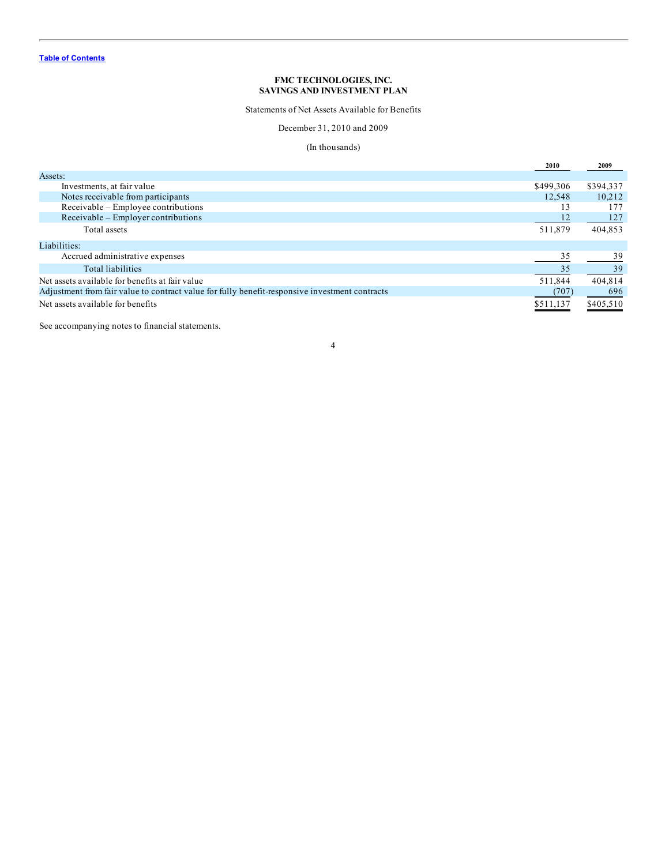Statements of Net Assets Available for Benefits

December 31, 2010 and 2009

## (In thousands)

<span id="page-3-0"></span>

|                                                                                                | 2010      | 2009      |
|------------------------------------------------------------------------------------------------|-----------|-----------|
| Assets:                                                                                        |           |           |
| Investments, at fair value                                                                     | \$499,306 | \$394,337 |
| Notes receivable from participants                                                             | 12,548    | 10.212    |
| Receivable - Employee contributions                                                            | 13        | 177       |
| Receivable – Employer contributions                                                            | 12        | 127       |
| Total assets                                                                                   | 511,879   | 404,853   |
| Liabilities:                                                                                   |           |           |
| Accrued administrative expenses                                                                | 35        | 39        |
| Total liabilities                                                                              | 35        | 39        |
| Net assets available for benefits at fair value                                                | 511,844   | 404,814   |
| Adjustment from fair value to contract value for fully benefit-responsive investment contracts | (707)     | 696       |
| Net assets available for benefits                                                              | \$511,137 | \$405,510 |

See accompanying notes to financial statements.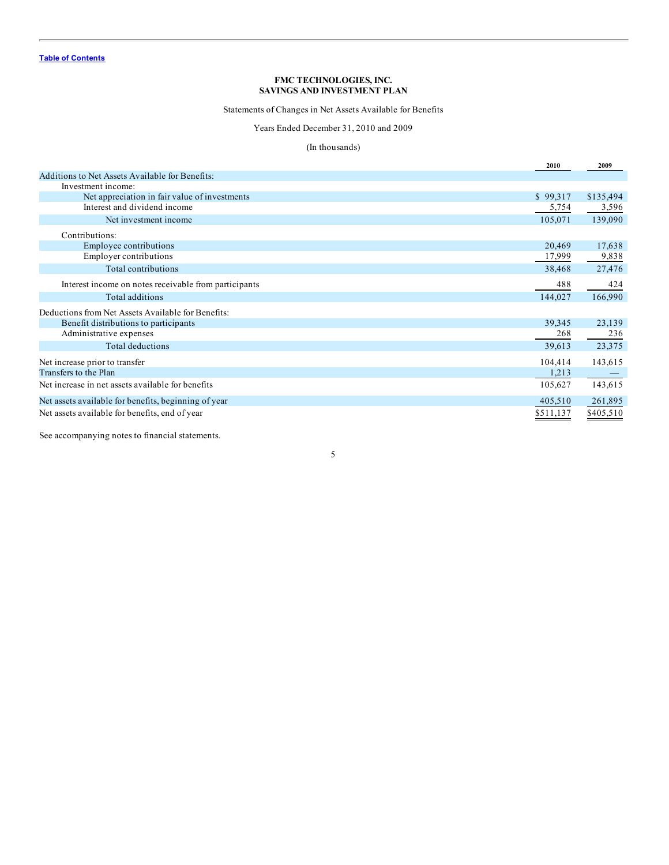Statements of Changes in Net Assets Available for Benefits

Years Ended December 31, 2010 and 2009

## (In thousands)

<span id="page-4-0"></span>

|                                                       | 2010      | 2009      |
|-------------------------------------------------------|-----------|-----------|
| Additions to Net Assets Available for Benefits:       |           |           |
| Investment income:                                    |           |           |
| Net appreciation in fair value of investments         | \$99,317  | \$135,494 |
| Interest and dividend income                          | 5,754     | 3,596     |
| Net investment income                                 | 105,071   | 139,090   |
| Contributions:                                        |           |           |
| Employee contributions                                | 20,469    | 17,638    |
| Employer contributions                                | 17,999    | 9,838     |
| Total contributions                                   | 38,468    | 27,476    |
| Interest income on notes receivable from participants | 488       | 424       |
| Total additions                                       | 144,027   | 166,990   |
| Deductions from Net Assets Available for Benefits:    |           |           |
| Benefit distributions to participants                 | 39,345    | 23,139    |
| Administrative expenses                               | 268       | 236       |
| Total deductions                                      | 39,613    | 23,375    |
| Net increase prior to transfer                        | 104,414   | 143,615   |
| Transfers to the Plan                                 | 1,213     |           |
| Net increase in net assets available for benefits     | 105,627   | 143,615   |
| Net assets available for benefits, beginning of year  | 405,510   | 261,895   |
| Net assets available for benefits, end of year        | \$511,137 | \$405,510 |

See accompanying notes to financial statements.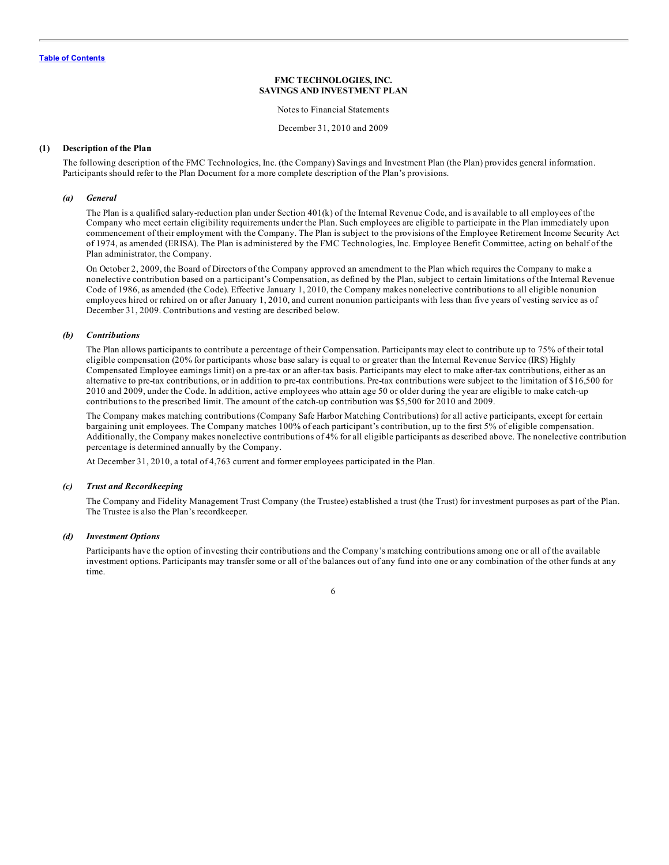Notes to Financial Statements

December 31, 2010 and 2009

#### <span id="page-5-0"></span>**(1) Description of the Plan**

The following description of the FMC Technologies, Inc. (the Company) Savings and Investment Plan (the Plan) provides general information. Participants should refer to the Plan Document for a more complete description of the Plan's provisions.

#### *(a) General*

The Plan is a qualified salary-reduction plan under Section 401(k) of the Internal Revenue Code, and is available to all employees of the Company who meet certain eligibility requirements under the Plan. Such employees are eligible to participate in the Plan immediately upon commencement of their employment with the Company. The Plan is subject to the provisions of the Employee Retirement Income Security Act of 1974, as amended (ERISA). The Plan is administered by the FMC Technologies, Inc. Employee Benefit Committee, acting on behalf of the Plan administrator, the Company.

On October 2, 2009, the Board of Directors of the Company approved an amendment to the Plan which requires the Company to make a nonelective contribution based on a participant's Compensation, as defined by the Plan, subject to certain limitations of the Internal Revenue Code of 1986, as amended (the Code). Effective January 1, 2010, the Company makes nonelective contributions to all eligible nonunion employees hired or rehired on or after January 1, 2010, and current nonunion participants with less than five years of vesting service as of December 31, 2009. Contributions and vesting are described below.

#### *(b) Contributions*

The Plan allows participants to contribute a percentage of their Compensation. Participants may elect to contribute up to 75% of their total eligible compensation (20% for participants whose base salary is equal to or greater than the Internal Revenue Service (IRS) Highly Compensated Employee earnings limit) on a pre-tax or an after-tax basis. Participants may elect to make after-tax contributions, either as an alternative to pre-tax contributions, or in addition to pre-tax contributions. Pre-tax contributions were subject to the limitation of \$16,500 for 2010 and 2009, under the Code. In addition, active employees who attain age 50 or older during the year are eligible to make catch-up contributions to the prescribed limit. The amount of the catch-up contribution was \$5,500 for 2010 and 2009.

The Company makes matching contributions (Company Safe Harbor Matching Contributions) for all active participants, except for certain bargaining unit employees. The Company matches 100% of each participant's contribution, up to the first 5% of eligible compensation. Additionally, the Company makes nonelective contributions of 4% for all eligible participants as described above. The nonelective contribution percentage is determined annually by the Company.

At December 31, 2010, a total of 4,763 current and former employees participated in the Plan.

#### *(c) Trust and Recordkeeping*

The Company and Fidelity Management Trust Company (the Trustee) established a trust (the Trust) for investment purposes as part of the Plan. The Trustee is also the Plan's recordkeeper.

#### *(d) Investment Options*

Participants have the option of investing their contributions and the Company's matching contributions among one or all of the available investment options. Participants may transfer some or all of the balances out of any fund into one or any combination of the other funds at any time.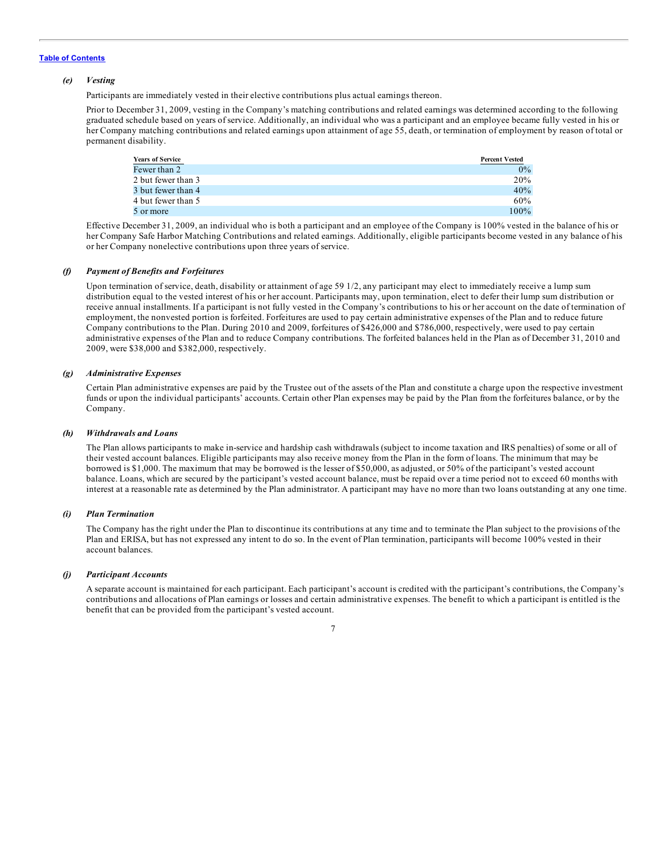#### *(e) Vesting*

Participants are immediately vested in their elective contributions plus actual earnings thereon.

Prior to December 31, 2009, vesting in the Company's matching contributions and related earnings was determined according to the following graduated schedule based on years of service. Additionally, an individual who was a participant and an employee became fully vested in his or her Company matching contributions and related earnings upon attainment of age 55, death, or termination of employment by reason of total or permanent disability.

| <b>Years of Service</b> | <b>Percent Vested</b> |
|-------------------------|-----------------------|
| Fewer than 2            | $0\%$                 |
| 2 but fewer than 3      | 20%                   |
| 3 but fewer than 4      | 40%                   |
| 4 but fewer than 5      | 60%                   |
| 5 or more               | $100\%$               |

Effective December 31, 2009, an individual who is both a participant and an employee of the Company is 100% vested in the balance of his or her Company Safe Harbor Matching Contributions and related earnings. Additionally, eligible participants become vested in any balance of his or her Company nonelective contributions upon three years of service.

#### *(f) Payment of Benefits and Forfeitures*

Upon termination of service, death, disability or attainment of age 59 1/2, any participant may elect to immediately receive a lump sum distribution equal to the vested interest of his or her account. Participants may, upon termination, elect to defer their lump sum distribution or receive annual installments. If a participant is not fully vested in the Company's contributions to his or her account on the date of termination of employment, the nonvested portion is forfeited. Forfeitures are used to pay certain administrative expenses of the Plan and to reduce future Company contributions to the Plan. During 2010 and 2009, forfeitures of \$426,000 and \$786,000, respectively, were used to pay certain administrative expenses of the Plan and to reduce Company contributions. The forfeited balances held in the Plan as of December 31, 2010 and 2009, were \$38,000 and \$382,000, respectively.

#### *(g) Administrative Expenses*

Certain Plan administrative expenses are paid by the Trustee out of the assets of the Plan and constitute a charge upon the respective investment funds or upon the individual participants' accounts. Certain other Plan expenses may be paid by the Plan from the forfeitures balance, or by the Company.

## *(h) Withdrawals and Loans*

The Plan allows participants to make in-service and hardship cash withdrawals (subject to income taxation and IRS penalties) of some or all of their vested account balances. Eligible participants may also receive money from the Plan in the form of loans. The minimum that may be borrowed is \$1,000. The maximum that may be borrowed is the lesser of \$50,000, as adjusted, or 50% of the participant's vested account balance. Loans, which are secured by the participant's vested account balance, must be repaid over a time period not to exceed 60 months with interest at a reasonable rate as determined by the Plan administrator. A participant may have no more than two loans outstanding at any one time.

#### *(i) Plan Termination*

The Company has the right under the Plan to discontinue its contributions at any time and to terminate the Plan subject to the provisions of the Plan and ERISA, but has not expressed any intent to do so. In the event of Plan termination, participants will become 100% vested in their account balances.

#### *(j) Participant Accounts*

A separate account is maintained for each participant. Each participant's account is credited with the participant's contributions, the Company's contributions and allocations of Plan earnings or losses and certain administrative expenses. The benefit to which a participant is entitled is the benefit that can be provided from the participant's vested account.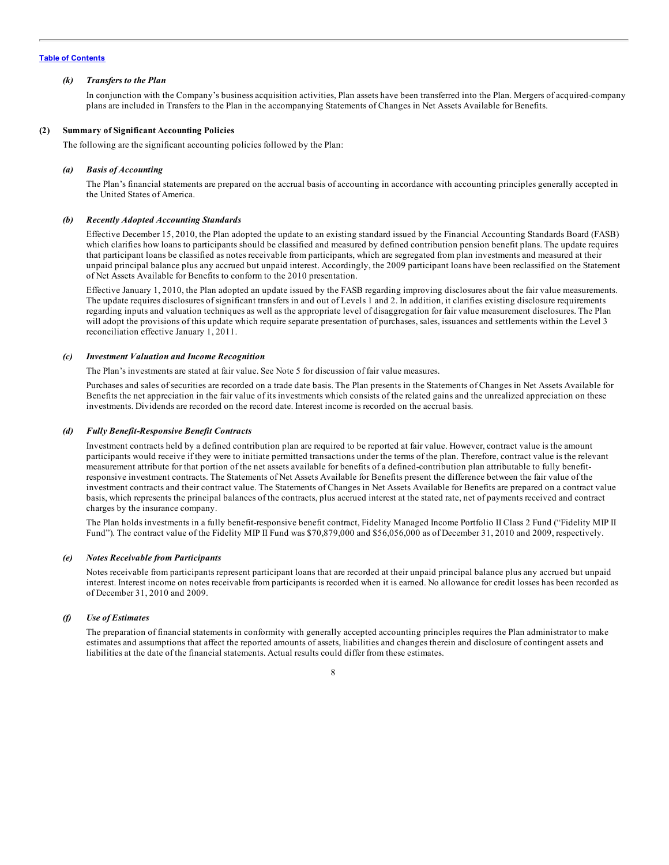#### *(k) Transfers to the Plan*

In conjunction with the Company's business acquisition activities, Plan assets have been transferred into the Plan. Mergers of acquired-company plans are included in Transfers to the Plan in the accompanying Statements of Changes in Net Assets Available for Benefits.

#### **(2) Summary of Significant Accounting Policies**

The following are the significant accounting policies followed by the Plan:

#### *(a) Basis of Accounting*

The Plan's financial statements are prepared on the accrual basis of accounting in accordance with accounting principles generally accepted in the United States of America.

#### *(b) Recently Adopted Accounting Standards*

Effective December 15, 2010, the Plan adopted the update to an existing standard issued by the Financial Accounting Standards Board (FASB) which clarifies how loans to participants should be classified and measured by defined contribution pension benefit plans. The update requires that participant loans be classified as notes receivable from participants, which are segregated from plan investments and measured at their unpaid principal balance plus any accrued but unpaid interest. Accordingly, the 2009 participant loans have been reclassified on the Statement of Net Assets Available for Benefits to conform to the 2010 presentation.

Effective January 1, 2010, the Plan adopted an update issued by the FASB regarding improving disclosures about the fair value measurements. The update requires disclosures of significant transfers in and out of Levels 1 and 2. In addition, it clarifies existing disclosure requirements regarding inputs and valuation techniques as well as the appropriate level of disaggregation for fair value measurement disclosures. The Plan will adopt the provisions of this update which require separate presentation of purchases, sales, issuances and settlements within the Level 3 reconciliation effective January 1, 2011.

#### *(c) Investment Valuation and Income Recognition*

The Plan's investments are stated at fair value. See Note 5 for discussion of fair value measures.

Purchases and sales of securities are recorded on a trade date basis. The Plan presents in the Statements of Changes in Net Assets Available for Benefits the net appreciation in the fair value of its investments which consists of the related gains and the unrealized appreciation on these investments. Dividends are recorded on the record date. Interest income is recorded on the accrual basis.

#### *(d) Fully Benefit-Responsive Benefit Contracts*

Investment contracts held by a defined contribution plan are required to be reported at fair value. However, contract value is the amount participants would receive if they were to initiate permitted transactions under the terms of the plan. Therefore, contract value is the relevant measurement attribute for that portion of the net assets available for benefits of a defined-contribution plan attributable to fully benefitresponsive investment contracts. The Statements of Net Assets Available for Benefits present the difference between the fair value of the investment contracts and their contract value. The Statements of Changes in Net Assets Available for Benefits are prepared on a contract value basis, which represents the principal balances of the contracts, plus accrued interest at the stated rate, net of payments received and contract charges by the insurance company.

The Plan holds investments in a fully benefit-responsive benefit contract, Fidelity Managed Income Portfolio II Class 2 Fund ("Fidelity MIP II Fund"). The contract value of the Fidelity MIP II Fund was \$70,879,000 and \$56,056,000 as of December 31, 2010 and 2009, respectively.

#### *(e) Notes Receivable from Participants*

Notes receivable from participants represent participant loans that are recorded at their unpaid principal balance plus any accrued but unpaid interest. Interest income on notes receivable from participants is recorded when it is earned. No allowance for credit losses has been recorded as of December 31, 2010 and 2009.

#### *(f) Use of Estimates*

The preparation of financial statements in conformity with generally accepted accounting principles requires the Plan administrator to make estimates and assumptions that affect the reported amounts of assets, liabilities and changes therein and disclosure of contingent assets and liabilities at the date of the financial statements. Actual results could differ from these estimates.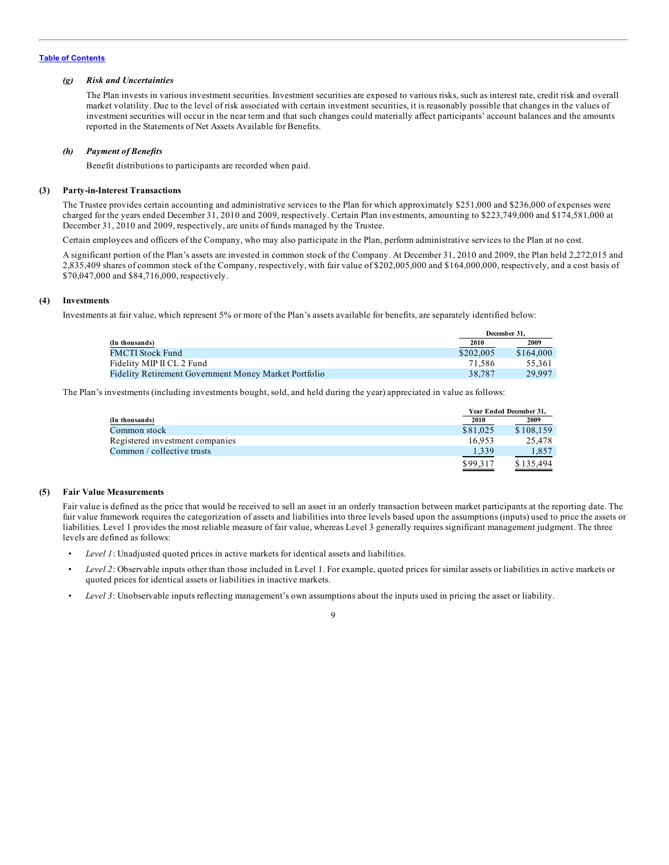#### *(g) Risk and Uncertainties*

The Plan invests in various investment securities. Investment securities are exposed to various risks, such as interest rate, credit risk and overall market volatility. Due to the level of risk associated with certain investment securities, it is reasonably possible that changes in the values of investment securities will occur in the near term and that such changes could materially affect participants' account balances and the amounts reported in the Statements of Net Assets Available for Benefits.

#### *(h) Payment of Benefits*

Benefit distributions to participants are recorded when paid.

#### **(3) Party-in-Interest Transactions**

The Trustee provides certain accounting and administrative services to the Plan for which approximately \$251,000 and \$236,000 of expenses were charged for the years ended December 31, 2010 and 2009, respectively. Certain Plan investments, amounting to \$223,749,000 and \$174,581,000 at December 31, 2010 and 2009, respectively, are units of funds managed by the Trustee.

Certain employees and officers of the Company, who may also participate in the Plan, perform administrative services to the Plan at no cost.

A significant portion of the Plan's assets are invested in common stock of the Company. At December 31, 2010 and 2009, the Plan held 2,272,015 and 2,835,409 shares of common stock of the Company, respectively, with fair value of \$202,005,000 and \$164,000,000, respectively, and a cost basis of \$70,047,000 and \$84,716,000, respectively.

#### **(4) Investments**

Investments at fair value, which represent 5% or more of the Plan's assets available for benefits, are separately identified below:

|                                                       |           | December 31. |
|-------------------------------------------------------|-----------|--------------|
| (In thousands)                                        | 2010      | 2009         |
| <b>FMCTI Stock Fund</b>                               | \$202,005 | \$164,000    |
| Fidelity MIP II CL 2 Fund                             | 71.586    | 55.361       |
| Fidelity Retirement Government Money Market Portfolio | 38,787    | 29.997       |

The Plan's investments (including investments bought, sold, and held during the year) appreciated in value as follows:

|                                 |          | Year Ended December 31, |
|---------------------------------|----------|-------------------------|
| (In thousands)                  | 2010     | 2009                    |
| Common stock                    | \$81,025 | \$108.159               |
| Registered investment companies | 16.953   | 25.478                  |
| Common / collective trusts      | 1,339    | 1,857                   |
|                                 | \$99.317 | \$135,494               |

#### **(5) Fair Value Measurements**

Fair value is defined as the price that would be received to sell an asset in an orderly transaction between market participants at the reporting date. The fair value framework requires the categorization of assets and liabilities into three levels based upon the assumptions (inputs) used to price the assets or liabilities. Level 1 provides the most reliable measure of fair value, whereas Level 3 generally requires significant management judgment. The three levels are defined as follows:

- *Level 1*: Unadjusted quoted prices in active markets for identical assets and liabilities.
- *Level 2*: Observable inputs other than those included in Level 1. For example, quoted prices for similar assets or liabilities in active markets or quoted prices for identical assets or liabilities in inactive markets.
- *Level* 3: Unobservable inputs reflecting management's own assumptions about the inputs used in pricing the asset or liability.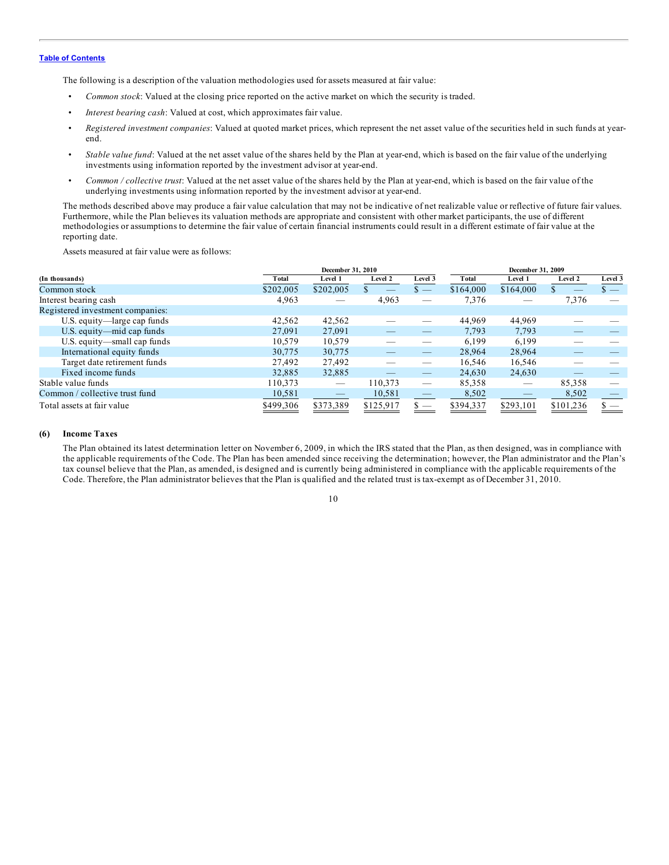The following is a description of the valuation methodologies used for assets measured at fair value:

- *Common stock*: Valued at the closing price reported on the active market on which the security is traded.
- *Interest bearing cash*: Valued at cost, which approximates fair value.
- *Registered investment companies*: Valued at quoted market prices, which represent the net asset value of the securities held in such funds at yearend.
- *Stable value fund*: Valued at the net asset value of the shares held by the Plan at year-end, which is based on the fair value of the underlying investments using information reported by the investment advisor at year-end.
- *Common / collective trust*: Valued at the net asset value of the shares held by the Plan at year-end, which is based on the fair value of the underlying investments using information reported by the investment advisor at year-end.

The methods described above may produce a fair value calculation that may not be indicative of net realizable value or reflective of future fair values. Furthermore, while the Plan believes its valuation methods are appropriate and consistent with other market participants, the use of different methodologies or assumptions to determine the fair value of certain financial instruments could result in a different estimate of fair value at the reporting date.

Assets measured at fair value were as follows:

|                                  | December 31, 2010 |                   |           | December 31, 2009        |           |           |           |                |
|----------------------------------|-------------------|-------------------|-----------|--------------------------|-----------|-----------|-----------|----------------|
| (In thousands)                   | Total             | Level 1           | Level 2   | Level 3                  | Total     | Level 1   | Level 2   | Level 3        |
| Common stock                     | \$202,005         | \$202,005         |           | $\mathsf{s}$ —           | \$164,000 | \$164,000 |           | $\mathbf{s}$ — |
| Interest bearing cash            | 4,963             |                   | 4,963     |                          | 7,376     |           | 7,376     |                |
| Registered investment companies: |                   |                   |           |                          |           |           |           |                |
| U.S. equity—large cap funds      | 42,562            | 42,562            |           |                          | 44,969    | 44,969    |           |                |
| U.S. equity—mid cap funds        | 27,091            | 27,091            |           |                          | 7,793     | 7,793     |           |                |
| U.S. equity—small cap funds      | 10.579            | 10,579            |           |                          | 6.199     | 6.199     |           |                |
| International equity funds       | 30,775            | 30,775            |           |                          | 28,964    | 28,964    |           |                |
| Target date retirement funds     | 27.492            | 27,492            |           |                          | 16,546    | 16,546    |           |                |
| Fixed income funds               | 32,885            | 32,885            |           |                          | 24,630    | 24,630    |           |                |
| Stable value funds               | 110,373           | $\hspace{0.05cm}$ | 110,373   |                          | 85,358    |           | 85,358    |                |
| Common / collective trust fund   | 10,581            |                   | 10,581    | $\overline{\phantom{0}}$ | 8,502     |           | 8,502     |                |
| Total assets at fair value       | \$499,306         | \$373,389         | \$125,917 |                          | \$394,337 | \$293,101 | \$101,236 |                |

#### **(6) Income Taxes**

The Plan obtained its latest determination letter on November 6, 2009, in which the IRS stated that the Plan, as then designed, was in compliance with the applicable requirements of the Code. The Plan has been amended since receiving the determination; however, the Plan administrator and the Plan's tax counsel believe that the Plan, as amended, is designed and is currently being administered in compliance with the applicable requirements of the Code. Therefore, the Plan administrator believes that the Plan is qualified and the related trust is tax-exempt as of December 31, 2010.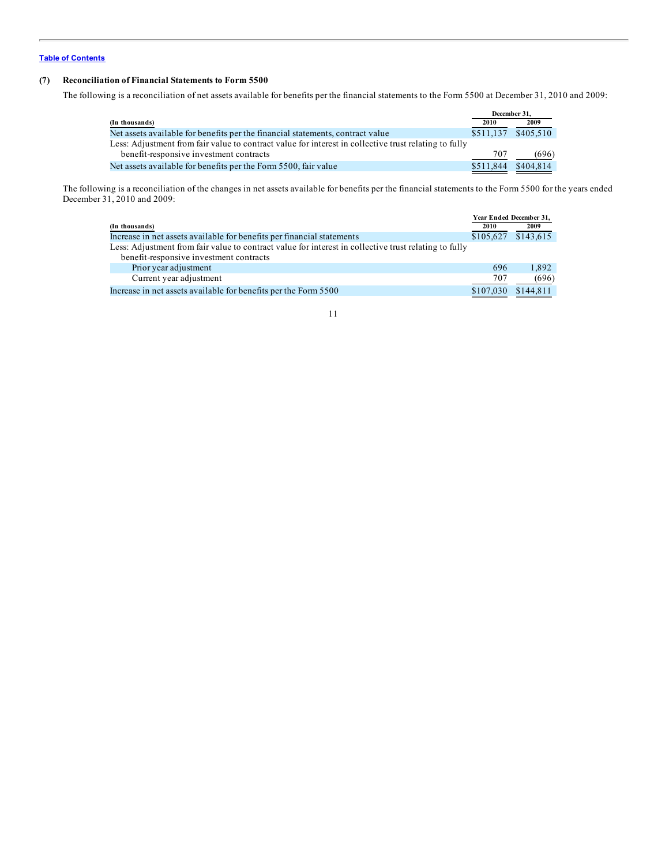#### **(7) Reconciliation of Financial Statements to Form 5500**

The following is a reconciliation of net assets available for benefits per the financial statements to the Form 5500 at December 31, 2010 and 2009:

| December 31.        |           |
|---------------------|-----------|
| 2010                | 2009      |
| \$511,137 \$405,510 |           |
|                     |           |
| 707                 | (696)     |
|                     | \$404.814 |
|                     | \$511,844 |

The following is a reconciliation of the changes in net assets available for benefits per the financial statements to the Form 5500 for the years ended December 31, 2010 and 2009:

|                                                                                                       | Year Ended December 31, |           |
|-------------------------------------------------------------------------------------------------------|-------------------------|-----------|
| (In thousands)                                                                                        | 2010                    | 2009      |
| Increase in net assets available for benefits per financial statements                                | \$105.627               | \$143,615 |
| Less: Adjustment from fair value to contract value for interest in collective trust relating to fully |                         |           |
| benefit-responsive investment contracts                                                               |                         |           |
| Prior year adjustment                                                                                 | 696                     | 1.892     |
| Current year adjustment                                                                               | 707                     | (696)     |
| Increase in net assets available for benefits per the Form 5500                                       | \$107,030               | \$144,811 |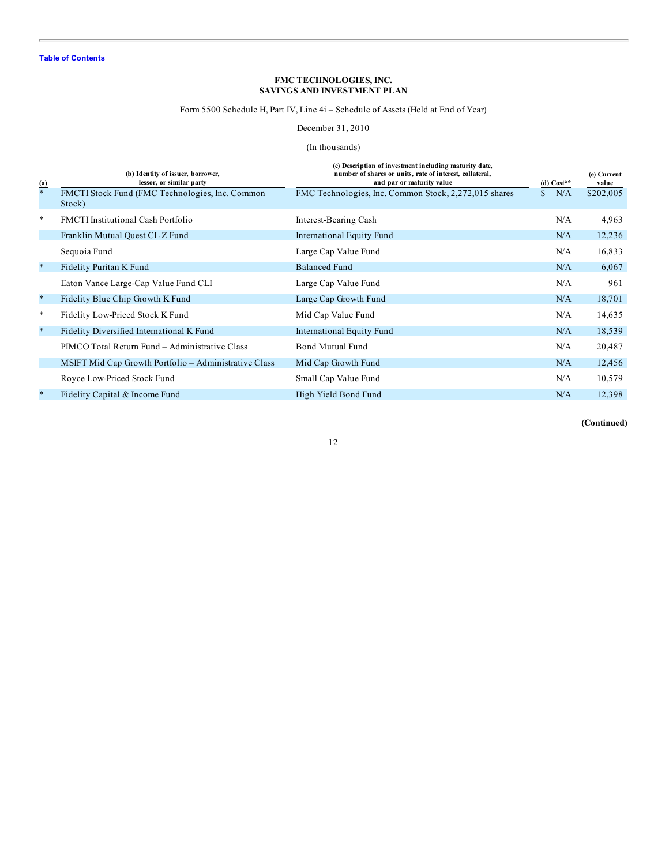#### Form 5500 Schedule H, Part IV, Line 4i – Schedule of Assets (Held at End of Year)

## December 31, 2010

#### (In thousands)

<span id="page-11-0"></span>

|                          | (b) Identity of issuer, borrower,<br>lessor, or similar party | (c) Description of investment including maturity date,<br>number of shares or units, rate of interest, collateral,<br>and par or maturity value | $(d) Cost**$        | (e) Current<br>value |
|--------------------------|---------------------------------------------------------------|-------------------------------------------------------------------------------------------------------------------------------------------------|---------------------|----------------------|
| $\frac{(\mathbf{a})}{*}$ | FMCTI Stock Fund (FMC Technologies, Inc. Common<br>Stock)     | FMC Technologies, Inc. Common Stock, 2,272,015 shares                                                                                           | N/A<br>$\mathbf{s}$ | \$202,005            |
| $\ast$                   | <b>FMCTI</b> Institutional Cash Portfolio                     | Interest-Bearing Cash                                                                                                                           | N/A                 | 4,963                |
|                          | Franklin Mutual Quest CL Z Fund                               | International Equity Fund                                                                                                                       | N/A                 | 12,236               |
|                          | Sequoia Fund                                                  | Large Cap Value Fund                                                                                                                            | N/A                 | 16,833               |
| $\ast$                   | Fidelity Puritan K Fund                                       | <b>Balanced Fund</b>                                                                                                                            | N/A                 | 6,067                |
|                          | Eaton Vance Large-Cap Value Fund CLI                          | Large Cap Value Fund                                                                                                                            | N/A                 | 961                  |
| $\ast$                   | Fidelity Blue Chip Growth K Fund                              | Large Cap Growth Fund                                                                                                                           | N/A                 | 18,701               |
| $\ast$                   | Fidelity Low-Priced Stock K Fund                              | Mid Cap Value Fund                                                                                                                              | N/A                 | 14,635               |
| $\ast$                   | Fidelity Diversified International K Fund                     | International Equity Fund                                                                                                                       | N/A                 | 18,539               |
|                          | PIMCO Total Return Fund – Administrative Class                | <b>Bond Mutual Fund</b>                                                                                                                         | N/A                 | 20,487               |
|                          | MSIFT Mid Cap Growth Portfolio - Administrative Class         | Mid Cap Growth Fund                                                                                                                             | N/A                 | 12,456               |
|                          | Royce Low-Priced Stock Fund                                   | Small Cap Value Fund                                                                                                                            | N/A                 | 10,579               |
| $\ast$                   | Fidelity Capital & Income Fund                                | High Yield Bond Fund                                                                                                                            | N/A                 | 12,398               |

**(Continued)**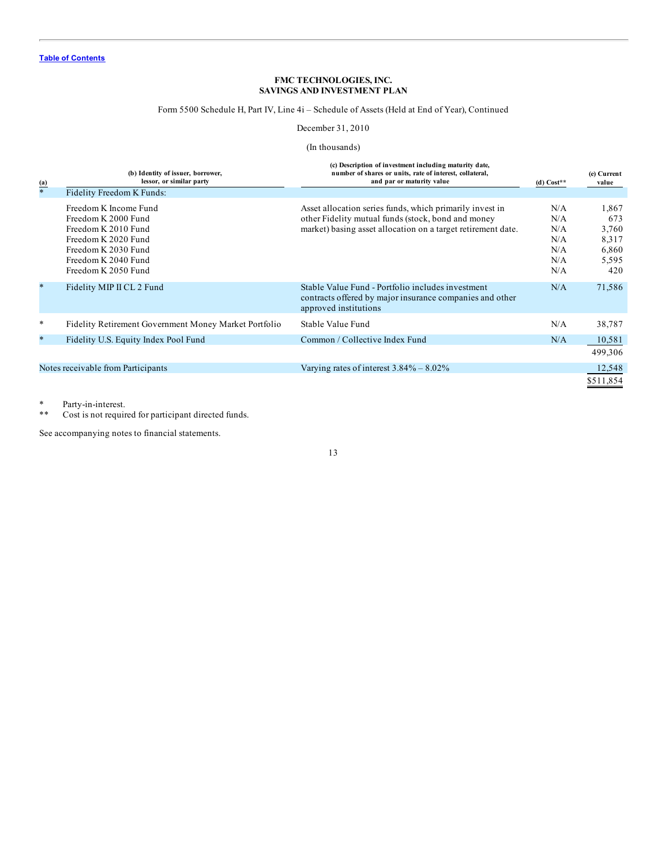## Form 5500 Schedule H, Part IV, Line 4i – Schedule of Assets (Held at End of Year), Continued

## December 31, 2010

#### (In thousands)

| $\frac{(\mathbf{a})}{*}$ | (b) Identity of issuer, borrower,<br>lessor, or similar party<br>Fidelity Freedom K Funds:                                                                      | (c) Description of investment including maturity date,<br>number of shares or units, rate of interest, collateral,<br>and par or maturity value                                | (d) $Cost**$                                  | (e) Current<br>value                                    |
|--------------------------|-----------------------------------------------------------------------------------------------------------------------------------------------------------------|--------------------------------------------------------------------------------------------------------------------------------------------------------------------------------|-----------------------------------------------|---------------------------------------------------------|
|                          | Freedom K Income Fund<br>Freedom K 2000 Fund<br>Freedom K 2010 Fund<br>Freedom K 2020 Fund<br>Freedom K 2030 Fund<br>Freedom K 2040 Fund<br>Freedom K 2050 Fund | Asset allocation series funds, which primarily invest in<br>other Fidelity mutual funds (stock, bond and money<br>market) basing asset allocation on a target retirement date. | N/A<br>N/A<br>N/A<br>N/A<br>N/A<br>N/A<br>N/A | 1,867<br>673<br>3,760<br>8,317<br>6,860<br>5,595<br>420 |
| $\star$                  | Fidelity MIP II CL 2 Fund                                                                                                                                       | Stable Value Fund - Portfolio includes investment<br>contracts offered by major insurance companies and other<br>approved institutions                                         | N/A                                           | 71,586                                                  |
| $\ast$                   | Fidelity Retirement Government Money Market Portfolio                                                                                                           | Stable Value Fund                                                                                                                                                              | N/A                                           | 38,787                                                  |
| $\ast$                   | Fidelity U.S. Equity Index Pool Fund                                                                                                                            | Common / Collective Index Fund                                                                                                                                                 | N/A                                           | 10,581<br>499,306                                       |
|                          | Notes receivable from Participants                                                                                                                              | Varying rates of interest $3.84\% - 8.02\%$                                                                                                                                    |                                               | 12,548<br>\$511,854                                     |

\* Party-in-interest.<br>\*\* Cost is not require

Cost is not required for participant directed funds.

See accompanying notes to financial statements.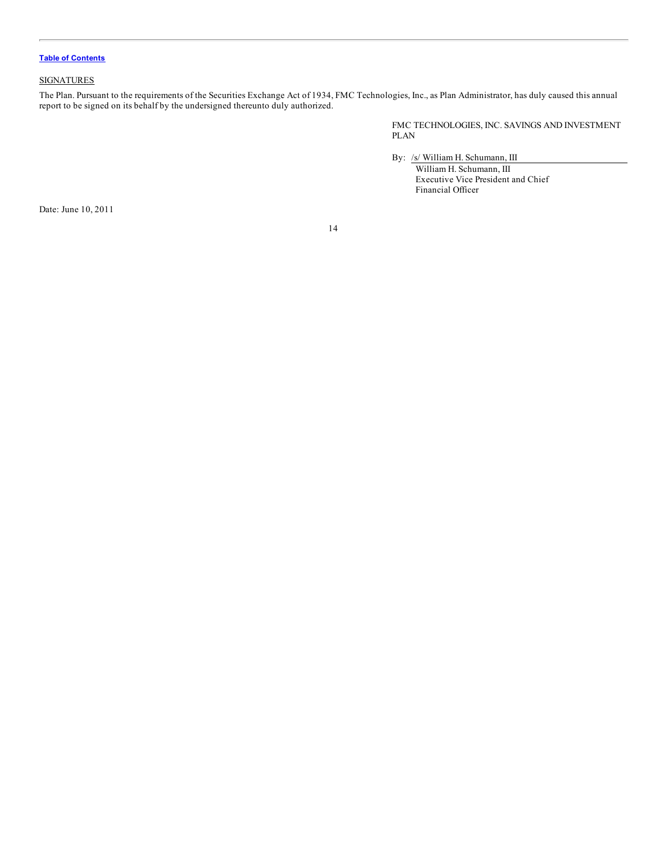#### <span id="page-13-0"></span>**SIGNATURES**

The Plan. Pursuant to the requirements of the Securities Exchange Act of 1934, FMC Technologies, Inc., as Plan Administrator, has duly caused this annual report to be signed on its behalf by the undersigned thereunto duly authorized.

> FMC TECHNOLOGIES, INC. SAVINGS AND INVESTMENT PLAN

By: /s/ William H. Schumann, III

William H. Schumann, III Executive Vice President and Chief Financial Officer

Date: June 10, 2011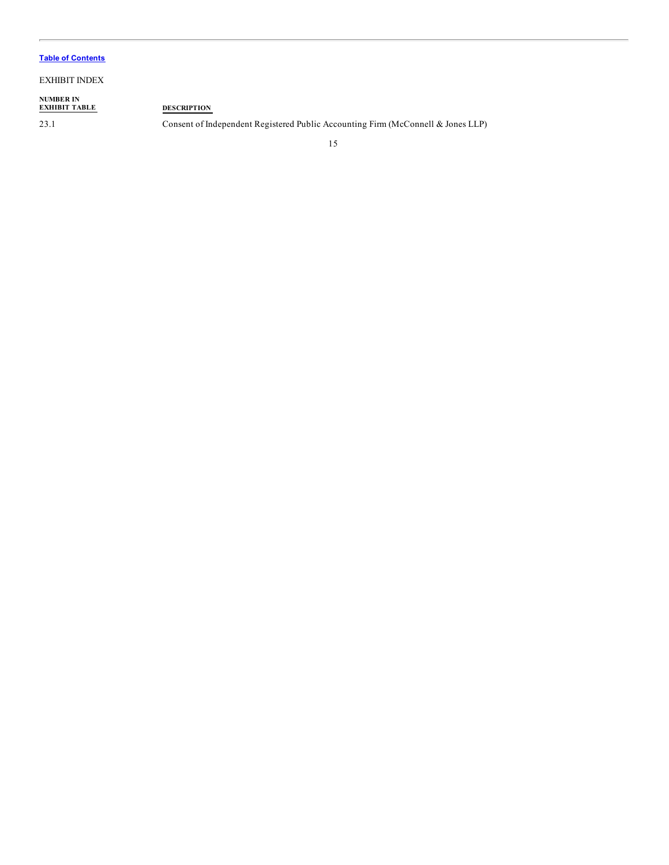#### EXHIBIT INDEX

**NUMBER IN EXHIBIT TABLE DESCRIPTION**

23.1 Consent of Independent Registered Public Accounting Firm (McConnell & Jones LLP)